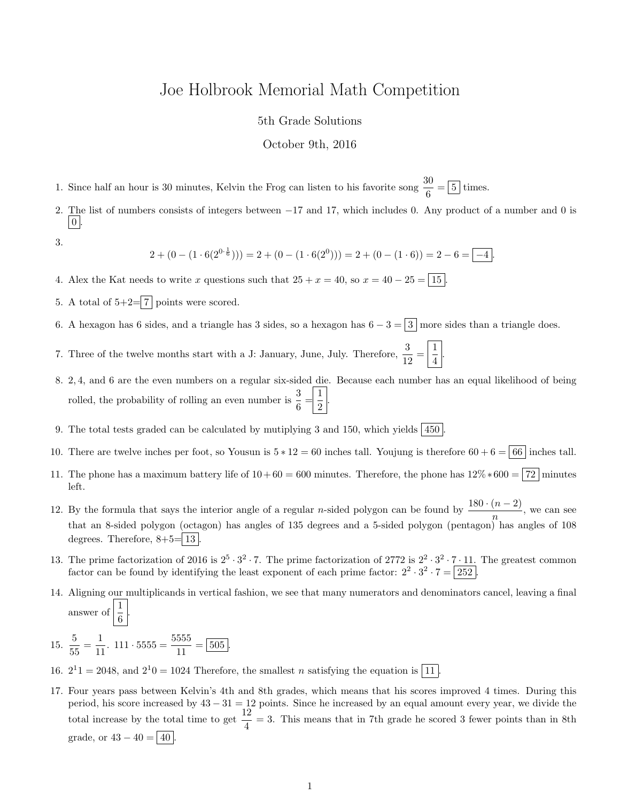## Joe Holbrook Memorial Math Competition

## 5th Grade Solutions

## October 9th, 2016

1. Since half an hour is 30 minutes, Kelvin the Frog can listen to his favorite song  $\frac{30}{6} = \boxed{5}$  times.

2. The list of numbers consists of integers between −17 and 17, which includes 0. Any product of a number and 0 is  $\vert 0 \vert$ 

3.

$$
2 + (0 - (1 \cdot 6(2^{0 \cdot \frac{1}{6}}))) = 2 + (0 - (1 \cdot 6(2^{0}))) = 2 + (0 - (1 \cdot 6)) = 2 - 6 = \boxed{-4}.
$$

4. Alex the Kat needs to write x questions such that  $25 + x = 40$ , so  $x = 40 - 25 = 15$ .

- 5. A total of  $5+2=\boxed{7}$  points were scored.
- 6. A hexagon has 6 sides, and a triangle has 3 sides, so a hexagon has  $6 3 = 3$  more sides than a triangle does.
- 7. Three of the twelve months start with a J: January, June, July. Therefore,  $\frac{3}{12} = \frac{1}{4}$  $\frac{1}{4}$
- 8. 2, 4, and 6 are the even numbers on a regular six-sided die. Because each number has an equal likelihood of being rolled, the probability of rolling an even number is  $\frac{3}{6} = \frac{1}{2}$  $\frac{1}{2}$
- 9. The total tests graded can be calculated by mutiplying 3 and 150, which yields  $|450|$
- 10. There are twelve inches per foot, so Yousun is  $5 * 12 = 60$  inches tall. Youjung is therefore  $60 + 6 = 66$  inches tall.
- 11. The phone has a maximum battery life of  $10+60 = 600$  minutes. Therefore, the phone has  $12\% * 600 = |72|$  minutes left.
- 12. By the formula that says the interior angle of a regular *n*-sided polygon can be found by  $\frac{180 \cdot (n-2)}{n}$ , we can see that an 8-sided polygon (octagon) has angles of 135 degrees and a 5-sided polygon (pentagon) has angles of 108 degrees. Therefore,  $8+5=\boxed{13}$
- 13. The prime factorization of 2016 is  $2^5 \cdot 3^2 \cdot 7$ . The prime factorization of 2772 is  $2^2 \cdot 3^2 \cdot 7 \cdot 11$ . The greatest common factor can be found by identifying the least exponent of each prime factor:  $2^2 \cdot 3^2 \cdot 7 = 252$ .
- 14. Aligning our multiplicands in vertical fashion, we see that many numerators and denominators cancel, leaving a final answer of  $\frac{1}{6}$ .
- 15.  $\frac{5}{7}$  $\frac{5}{55} = \frac{1}{11}$  $\frac{1}{11}$ . 111 · 5555 =  $\frac{5555}{11}$  $\frac{333}{11} = 505.$
- 16.  $2^11 = 2048$ , and  $2^10 = 1024$  Therefore, the smallest *n* satisfying the equation is [11].
- 17. Four years pass between Kelvin's 4th and 8th grades, which means that his scores improved 4 times. During this period, his score increased by  $43 - 31 = 12$  points. Since he increased by an equal amount every year, we divide the total increase by the total time to get  $\frac{12}{4} = 3$ . This means that in 7th grade he scored 3 fewer points than in 8th grade, or  $43 - 40 = |40|$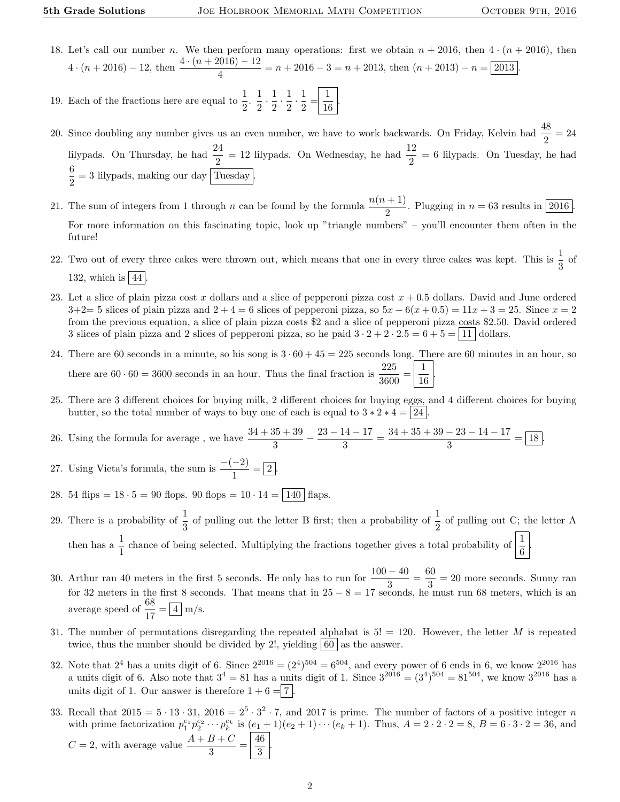- 18. Let's call our number n. We then perform many operations: first we obtain  $n + 2016$ , then  $4 \cdot (n + 2016)$ , then  $4 \cdot (n+2016) - 12$ , then  $\frac{4 \cdot (n+2016) - 12}{4} = n+2016 - 3 = n+2013$ , then  $(n+2013) - n = 2013$ .
- 19. Each of the fractions here are equal to  $\frac{1}{2}$ .  $\frac{1}{2}$  $\frac{1}{2} \cdot \frac{1}{2}$  $\frac{1}{2} \cdot \frac{1}{2}$  $\frac{1}{2} \cdot \frac{1}{2}$  $\frac{1}{2} = \frac{1}{16}$  $\frac{1}{16}$
- 20. Since doubling any number gives us an even number, we have to work backwards. On Friday, Kelvin had  $\frac{48}{2} = 24$ lilypads. On Thursday, he had  $\frac{24}{2} = 12$  lilypads. On Wednesday, he had  $\frac{12}{2} = 6$  lilypads. On Tuesday, he had 6  $\frac{6}{2}$  = 3 lilypads, making our day Tuesday.
- 21. The sum of integers from 1 through n can be found by the formula  $\frac{n(n + 1)}{2}$ . Plugging in  $n = 63$  results in 2016. For more information on this fascinating topic, look up "triangle numbers" – you'll encounter them often in the future!
- 22. Two out of every three cakes were thrown out, which means that one in every three cakes was kept. This is  $\frac{1}{3}$  of 132, which is  $|44|$ .
- 23. Let a slice of plain pizza cost x dollars and a slice of pepperoni pizza cost  $x + 0.5$  dollars. David and June ordered  $3+2=5$  slices of plain pizza and  $2+4=6$  slices of pepperoni pizza, so  $5x+6(x+0.5)=11x+3=25$ . Since  $x=2$ from the previous equation, a slice of plain pizza costs \$2 and a slice of pepperoni pizza costs \$2.50. David ordered 3 slices of plain pizza and 2 slices of pepperoni pizza, so he paid  $3 \cdot 2 + 2 \cdot 2 \cdot 5 = 6 + 5 = |11|$  dollars.
- 24. There are 60 seconds in a minute, so his song is  $3 \cdot 60 + 45 = 225$  seconds long. There are 60 minutes in an hour, so there are  $60 \cdot 60 = 3600$  seconds in an hour. Thus the final fraction is  $\frac{225}{3600} = \frac{1}{16}$ 16 .
- 25. There are 3 different choices for buying milk, 2 different choices for buying eggs, and 4 different choices for buying butter, so the total number of ways to buy one of each is equal to  $3 * 2 * 4 = |24|$ .
- 26. Using the formula for average, we have  $\frac{34 + 35 + 39}{3} \frac{23 14 17}{3}$  $\frac{14-17}{3} = \frac{34+35+39-23-14-17}{3}$  $\frac{25}{3}$   $\frac{11}{3}$  = 18.
- 27. Using Vieta's formula, the sum is  $\frac{-(-2)}{1} = \boxed{2}$ .
- 28. 54 flips =  $18 \cdot 5 = 90$  flops. 90 flops =  $10 \cdot 14 = |140|$  flaps.
- 29. There is a probability of  $\frac{1}{3}$  of pulling out the letter B first; then a probability of  $\frac{1}{2}$  of pulling out C; the letter A then has a  $\frac{1}{1}$  chance of being selected. Multiplying the fractions together gives a total probability of  $\left|\frac{1}{6}\right|$ .
- 30. Arthur ran 40 meters in the first 5 seconds. He only has to run for  $\frac{100-40}{3} = \frac{60}{3}$  $\frac{30}{3}$  = 20 more seconds. Sunny ran for 32 meters in the first 8 seconds. That means that in  $25 - 8 = 17$  seconds, he must run 68 meters, which is an average speed of  $\frac{68}{17} = \boxed{4}$  m/s.
- 31. The number of permutations disregarding the repeated alphabat is  $5! = 120$ . However, the letter M is repeated twice, thus the number should be divided by 2!, yielding  $|60|$  as the answer.
- 32. Note that  $2^4$  has a units digit of 6. Since  $2^{2016} = (2^4)^{504} = 6^{504}$ , and every power of 6 ends in 6, we know  $2^{2016}$  has a units digit of 6. Also note that  $3^4 = 81$  has a units digit of 1. Since  $3^{2016} = (3^4)^{504} = 81^{504}$ , we know  $3^{2016}$  has a units digit of 1. Our answer is therefore  $1 + 6 = 7$ .
- 33. Recall that  $2015 = 5 \cdot 13 \cdot 31$ ,  $2016 = 2^5 \cdot 3^2 \cdot 7$ , and  $2017$  is prime. The number of factors of a positive integer n with prime factorization  $p_1^{e_1} p_2^{e_2} \cdots p_k^{e_k}$  is  $(e_1 + 1)(e_2 + 1) \cdots (e_k + 1)$ . Thus,  $A = 2 \cdot 2 \cdot 2 = 8$ ,  $B = 6 \cdot 3 \cdot 2 = 36$ , and  $C = 2$ , with average value  $\frac{A+B+C}{3} = \frac{46}{3}$  $\frac{15}{3}$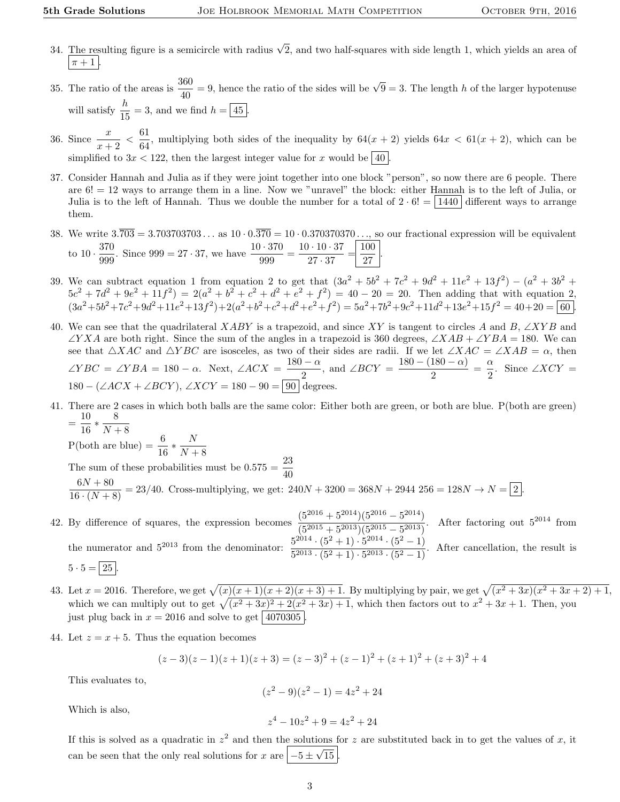- 34. The resulting figure is a semicircle with radius  $\sqrt{2}$ , and two half-squares with side length 1, which yields an area of  $\pi + 1$ .
- 35. The ratio of the areas is  $\frac{360}{40} = 9$ , hence the ratio of the sides will be  $\sqrt{9} = 3$ . The length h of the larger hypotenuse will satisfy  $\frac{h}{15} = 3$ , and we find  $h = \boxed{45}$ .
- 36. Since  $\frac{x}{x+2} < \frac{61}{64}$  $\frac{64}{64}$ , multiplying both sides of the inequality by  $64(x + 2)$  yields  $64x < 61(x + 2)$ , which can be simplified to  $3x < 122$ , then the largest integer value for x would be 40
- 37. Consider Hannah and Julia as if they were joint together into one block "person", so now there are 6 people. There are 6! = 12 ways to arrange them in a line. Now we "unravel" the block: either Hannah is to the left of Julia, or Julia is to the left of Hannah. Thus we double the number for a total of  $2 \cdot 6! = |1440|$  different ways to arrange them.
- 38. We write  $3.\overline{703} = 3.703703703...$  as  $10 \cdot 0.\overline{370} = 10 \cdot 0.370370370...,$  so our fractional expression will be equivalent to  $10 \cdot \frac{370}{000}$  $\frac{370}{999}$ . Since 999 = 27 · 37, we have  $\frac{10 \cdot 370}{999} = \frac{10 \cdot 10 \cdot 37}{27 \cdot 37}$  $\frac{10 \cdot 37}{27 \cdot 37} = \frac{100}{27}$  $\frac{100}{27}$ .
- 39. We can subtract equation 1 from equation 2 to get that  $(3a^2 + 5b^2 + 7c^2 + 9d^2 + 11e^2 + 13f^2) (a^2 + 3b^2 + 7c^2 + 9d^2 + 11e^2 + 13f^2)$  $5c^2 + 7d^2 + 9e^2 + 11f^2 = 2(a^2 + b^2 + c^2 + d^2 + e^2 + f^2) = 40 - 20 = 20$ . Then adding that with equation 2,  $(3a^2+5b^2+7c^2+9d^2+11e^2+13f^2)+2(a^2+b^2+c^2+d^2+e^2+f^2)=5a^2+7b^2+9c^2+11d^2+13e^2+15f^2=40+20=\boxed{60}$ .
- 40. We can see that the quadrilateral XABY is a trapezoid, and since XY is tangent to circles A and B, ∠XYB and  $\angle YXA$  are both right. Since the sum of the angles in a trapezoid is 360 degrees,  $\angle XAB + \angle YBA = 180$ . We can see that  $\triangle XAC$  and  $\triangle YBC$  are isosceles, as two of their sides are radii. If we let  $\angle XAC = \angle XAB = \alpha$ , then  $\angle YBC = \angle YBA = 180 - \alpha$ . Next,  $\angle ACX = \frac{180 - \alpha}{\alpha}$  $\frac{1-\alpha}{2}$ , and  $\angle BCY = \frac{180 - (180 - \alpha)}{2}$  $\frac{180-\alpha)}{2} = \frac{\alpha}{2}$  $\frac{\alpha}{2}$ . Since ∠*XCY* =  $180 - (\angle ACX + \angle BCY)$ ,  $\angle XCY = 180 - 90 = \boxed{90}$  degrees.
- 41. There are 2 cases in which both balls are the same color: Either both are green, or both are blue. P(both are green)  $=\frac{10}{10}$  $\frac{10}{16} * \frac{8}{N+}$

 $N+8$ P(both are blue) =  $\frac{6}{16} * \frac{N}{N+1}$  $N+8$ 

- The sum of these probabilities must be  $0.575 = \frac{23}{40}$  $\frac{6N + 80}{16 \cdot (N + 8)} = 23/40$ . Cross-multiplying, we get:  $240N + 3200 = 368N + 2944$   $256 = 128N \rightarrow N = 2$ .
- 42. By difference of squares, the expression becomes  $\frac{(5^{2016} + 5^{2014})(5^{2016} 5^{2014})}{(5^{2015} + 5^{2013})(5^{2015} 5^{2013})}$  $\frac{(3+3)/(3-3)}{(5^{2015}+5^{2013})(5^{2015}-5^{2013})}$ . After factoring out  $5^{2014}$  from the numerator and  $5^{2013}$  from the denominator:  $\frac{5^{2014} \cdot (5^2+1) \cdot 5^{2014} \cdot (5^2-1)}{5^{2013} \cdot (5^2+1) \cdot 5^{2013} \cdot (5^2-1)}$  $\frac{3}{5^{2013} \cdot (5^2+1) \cdot 5^{2013} \cdot (5^2-1)}$ . After cancellation, the result is

$$
5 \cdot 5 = |25|.
$$

- 43. Let  $x = 2016$ . Therefore, we get  $\sqrt{(x)(x+1)(x+2)(x+3)+1}$ . By multiplying by pair, we get  $\sqrt{(x^2+3x)(x^2+3x+2)+1}$ , which we can multiply out to get  $\sqrt{(x^2 + 3x)^2 + 2(x^2 + 3x) + 1}$ , which then factors out to  $x^2 + 3x + 1$ . Then, you just plug back in  $x = 2016$  and solve to get 4070305
- 44. Let  $z = x + 5$ . Thus the equation becomes

$$
(z-3)(z-1)(z+1)(z+3) = (z-3)^2 + (z-1)^2 + (z+1)^2 + (z+3)^2 + 4
$$

This evaluates to,

$$
(z^2 - 9)(z^2 - 1) = 4z^2 + 24
$$

Which is also,

$$
z^4 - 10z^2 + 9 = 4z^2 + 24
$$

If this is solved as a quadratic in  $z^2$  and then the solutions for z are substituted back in to get the values of x, it can be seen that the only real solutions for x are  $|-5 \pm 1$ √ 15 .